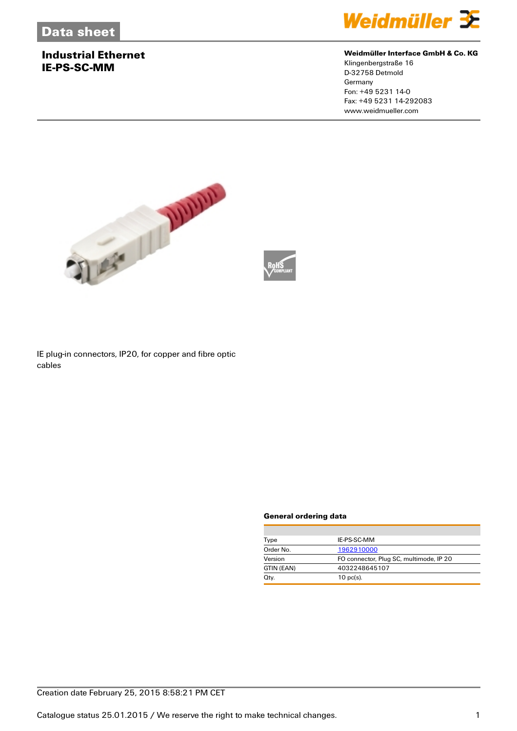## **Industrial Ethernet IE-PS-SC-MM**



#### **Weidmüller Interface GmbH & Co. KG**

Klingenbergstraße 16 D-32758 Detmold Germany Fon: +49 5231 14-0 Fax: +49 5231 14-292083 www.weidmueller.com



IE plug-in connectors, IP20, for copper and fibre optic cables

#### **General ordering data**

| Type       | IE-PS-SC-MM                             |  |
|------------|-----------------------------------------|--|
| Order No.  | 1962910000                              |  |
| Version    | FO connector, Plug SC, multimode, IP 20 |  |
| GTIN (EAN) | 4032248645107                           |  |
| Qtv.       | $10 \text{ pc(s)}$ .                    |  |
|            |                                         |  |